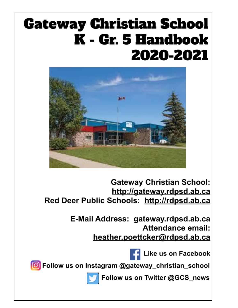# **Gateway Christian School** K - Gr. 5 Handbook 2020-2021



**Gateway Christian School:** http://gateway.rdpsd.ab.ca Red Deer Public Schools: http://rdpsd.ab.ca

> E-Mail Address: gateway.rdpsd.ab.ca Attendance email: heather.poettcker@rdpsd.ab.ca

> > Like us on Facebook

O Follow us on Instagram @gateway\_christian\_school



Follow us on Twitter @GCS\_news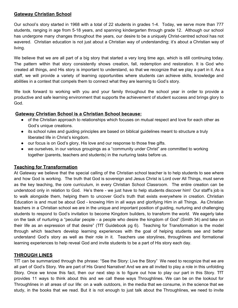#### **Gateway Christian School**

Our school's story started in 1968 with a total of 22 students in grades 1-4. Today, we serve more than 777 students, ranging in age from 5-18 years, and spanning kindergarten through grade 12. Although our school has undergone many changes throughout the years, our desire to be a uniquely Christ-centred school has not wavered. Christian education is not just about a Christian way of understanding; it's about a Christian way of living.

We believe that we are all part of a big story that started a very long time ago, which is still continuing today. The pattern within that story consistently shows creation, fall, redemption and restoration. It is God who created all things, and His story is important to understand, so that we recognize that we play a part in it. As a staff, we will provide a variety of learning opportunities where students can achieve skills, knowledge and abilities in a context that compels them to connect what they are learning to God's story.

We look forward to working with you and your family throughout the school year in order to provide a productive and safe learning environment that supports the achievement of student success and brings glory to God.

#### **Gateway Christian School is a Christian School because:**

- of the Christian approach to relationships which focuses on mutual respect and love for each other as God's unique creations.
- its school rules and guiding principles are based on biblical guidelines meant to structure a truly liberated life in Christ's kingdom.
- our focus is on God's glory, His love and our response to those free gifts.
- we ourselves, in our various groupings as a "community under Christ" are committed to working together (parents, teachers and students) in the nurturing tasks before us.

#### **Teaching for Transformation**

At Gateway we believe that the special calling of the Christian school teacher is to help students to see where and how God is working. The truth that God is sovereign and Jesus Christ is Lord over All Things, must serve as the key teaching, the core curriculum, in every Christian School Classroom. The entire creation can be understood only in relation to God. He's there - we just have to help students discover him! Our staff's job is to walk alongside them, helping them to uncover God's truth that exists everywhere in creation. Christian Education is and must be about God - knowing Him in all ways and glorifying Him in all Things. As Christian teachers in a Christian school we are in the unique and important position of guiding, nurturing and challenging students to respond to God's invitation to become Kingdom builders, to transform the world. We eagerly take on the task of nurturing a "peculiar people - a people who desire the kingdom of God" (Smith 34) and take on their life as an expression of that desire" (TfT Guidebook pg 6). Teaching for Transformation is the model through which teachers develop learning experiences with the goal of helping students see and better understand God's story as well as their role in it. Teachers use storylines, throughlines and formational learning experiences to help reveal God and invite students to be a part of His story each day.

## **THROUGH LINES**

TfT can be summarized through the phrase: "See the Story: Live the Story" We need to recognize that we are all part of God's Story. We are part of His Grand Narrative! And we are all invited to play a role in this unfolding Story. Once we know this fact, then our next step is to figure out how to play our part in this Story. TfT provides 11 ways to think about this and we call these ways Throughlines. We can be on the lookout for Throughlines in all areas of our life: on a walk outdoors, in the media that we consume, in the science that we study, in the books that we read. But it is not enough to just talk about the Throughlines, we need to invite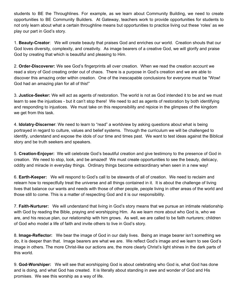students to BE the Throughlines. For example, as we learn about Community Building, we need to create opportunities to BE Community Builders. At Gateway, teachers work to provide opportunities for students to not only learn about what a certain throughline means but opportunities to practice living out these 'roles' as we play our part in God's story.

1. **Beauty-Creator**: We will create beauty that praises God and enriches our world. Creation shouts that our God loves diversity, complexity, and creativity. As image bearers of a creative God, we will glorify and praise God by creating that which is beautiful and pleasing to Him.

2. **Order-Discoverer:** We see God's fingerprints all over creation. When we read the creation account we read a story of God creating order out of chaos. There is a purpose in God's creation and we are able to discover this amazing order within creation. One of the inescapable conclusions for everyone must be "Wow! God had an amazing plan for all of this!"

3. **Justice-Seeker:** We will act as agents of restoration. The world is not as God intended it to be and we must learn to see the injustices - but it can't stop there! We need to act as agents of restoration by both identifying and responding to injustices. We must take on this responsibility and rejoice in the glimpses of the kingdom we get from this task.

4. **Idolatry-Discerner**: We need to learn to "read" a worldview by asking questions about what is being portrayed in regard to culture, values and belief systems. Through the curriculum we will be challenged to identify, understand and expose the idols of our time and times past. We want to test ideas against the Biblical story and be truth seekers and speakers.

5. **Creation-Enjoyer:** We will celebrate God's beautiful creation and give testimony to the presence of God in creation. We need to stop, look, and be amazed! We must create opportunities to see the beauty, delicacy, oddity and miracle in everyday things. Ordinary things become extraordinary when seen in a new way!

6. **Earth-Keeper:** We will respond to God's call to be stewards of all of creation. We need to reclaim and relearn how to respectfully treat the universe and all things contained in it. It is about the challenge of living lives that balance our wants and needs with those of other people, people living in other areas of the world and those still to come. This is a matter of respecting God and it is our responsibility.

7. **Faith-Nurturer:** We will understand that living in God's story means that we pursue an intimate relationship with God by reading the Bible, praying and worshipping Him. As we learn more about who God is, who we are, and his rescue plan, our relationship with him grows. As well, we are called to be faith nurturers; children of God who model a life of faith and invite others to live in God's story.

8. **Image-Reflector:** We bear the image of God in our daily lives. Being an image bearer isn't something we do, it is deeper than that. Image bearers are what we are. We reflect God's image and we learn to see God's image in others. The more Christ-like our actions are, the more clearly Christ's light shines in the dark parts of this world.

9. **God-Worshiper:** We will see that worshipping God is about celebrating who God is, what God has done and is doing, and what God has created. It is literally about standing in awe and wonder of God and His promises. We see this worship as a way of life.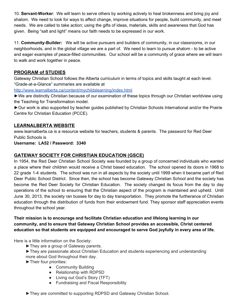10. **Servant-Worker**: We will learn to serve others by working actively to heal brokenness and bring joy and shalom. We need to look for ways to affect change, improve situations for people, build community, and meet needs. We are called to take action; using the gifts of ideas, materials, skills and awareness that God has given. Being "salt and light" means our faith needs to be expressed in our work.

11. **Community-Builder:** We will be active pursuers and builders of community, in our classrooms, in our neighborhoods, and in the global village we are a part of. We need to learn to pursue shalom - to be active and eager examples of peace-filled communities. Our school will be a community of grace where we will learn to walk and work together in peace.

# **PROGRAM of STUDIES**

Gateway Christian School follows the Alberta curriculum in terms of topics and skills taught at each level. "Grade-at-a-Glance" summaries are available at

<http://www.learnalberta.ca/content/mychildslearning/index.html>

►We are distinctly Christian because of our examination of these topics through our Christian worldview using the Teaching for Transformation model.

►Our work is also supported by teacher guides published by Christian Schools International and/or the Prairie Centre for Christian Education (PCCE).

## **LEARNALBERTA WEBSITE**

www.learnalberta.ca is a resource website for teachers, students & parents. The password for Red Deer Public Schools is

**Username: LA52 / Password: 3340**

## **GATEWAY SOCIETY FOR CHRISTIAN EDUCATION (GSCE)**

In 1954, the Red Deer Christian School Society was founded by a group of concerned individuals who wanted a place where their children would receive a Christ based education. The school opened its doors in 1968 to 22 grade 1-4 students. The school was run in all aspects by the society until 1999 when it became part of Red Deer Public School District. Since then, the school has become Gateway Christian School and the society has become the Red Deer Society for Christian Education. The society changed its focus from the day to day operations of the school to ensuring that the Christian aspect of the program is maintained and upheld. Until June 30, 2013, the society ran busses for day to day transportation. They promote the furtherance of Christian education through the distribution of funds from their endowment fund. They sponsor staff appreciation events throughout the school year.

**Their mission is to encourage and facilitate Christian education and lifelong learning in our community, and to ensure that Gateway Christian School provides an accessible, Christ centered education so that students are equipped and encouraged to serve God joyfully in every area of life.**

Here is a little information on the Society:

- ►They are a group of Gateway parents.
- ►They are passionate about Christian Education and students experiencing and understanding more about God throughout their day.

►Their four priorities:

- Community Building
- Relationship with RDPSD
- Living out God's Story (TFT)
- Fundraising and Fiscal Responsibility

►They are committed to supporting RDPSD and Gateway Christian School.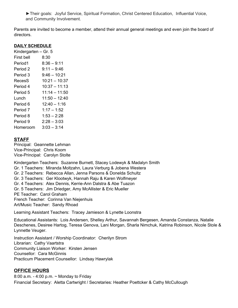►Their goals: Joyful Service, Spiritual Formation, Christ Centered Education, Influential Voice, and Community Involvement.

Parents are invited to become a member, attend their annual general meetings and even join the board of directors.

#### **DAILY SCHEDULE**

Kindergarten – Gr. 5 First bell 8:30 Period1 8:36 – 9:11 Period 2 9:11 – 9:46 Period 3 9:46 – 10:21 RecesS 10:21 – 10:37 Period 4 10:37 – 11:13 Period 5 11:14 – 11:50 Lunch 11:50 – 12:40 Period 6 12:40 – 1:16 Period 7 1:17 – 1:52 Period 8 1:53 – 2:28 Period 9 2:28 – 3:03 Homeroom 3:03 – 3:14

## **STAFF**

Principal: Geannette Lehman Vice-Principal: Chris Koom Vice-Principal: Carolyn Stolte

Kindergarten Teachers: Suzanne Burnett, Stacey Lodewyk & Madalyn Smith Gr. 1 Teachers: Miranda Moltzahn, Laura Verburg & Jobena Westera Gr. 2 Teachers: Rebecca Allan, Jenna Parsons & Donelda Schultz Gr. 3 Teachers: Ger Klootwyk, Hannah Raju & Karen Wolfmeyer Gr. 4 Teachers: Alex Dennis, Kerrie-Ann Dalstra & Abe Tuazon Gr. 5 Teachers: Jim Driedger, Amy McAllister & Eric Mueller PE Teacher: Carol Graham French Teacher: Corinna Van Niejenhuis Art/Music Teacher: Sandy Rhoad

Learning Assistant Teachers: Tracey Jamieson & Lynette Loonstra

Educational Assistants: Lois Andersen, Shelley Arthur, Savannah Bergesen, Amanda Constanza, Natalie Deschenes, Desiree Hartog, Teresa Genova, Lani Morgan, Sharla Nimchuk, Katrina Robinson, Nicole Stole & Lynnette Veuger.

Instruction Assistant / Worship Coordinator: Cherilyn Strom Librarian: Cathy Vaartstra Community Liaison Worker: Kirsten Jensen Counsellor: Cara McGinnis Practicum Placement Counsellor: Lindsay Hawrylak

## **OFFICE HOURS**

8:00 a.m. - 4:00 p.m. ~ Monday to Friday Financial Secretary: Aletta Cartwright / Secretaries: Heather Poettcker & Cathy McCullough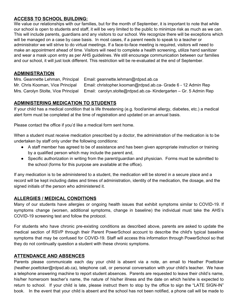# **ACCESS TO SCHOOL BUILDING:**

We value our relationships with our families, but for the month of September, it is important to note that while our school is open to students and staff, it will be very limited to the public to minimize risk as much as we can. This will include parents, guardians and any visitors to our school. We recognize there will be exceptions which will be managed on a case by case basis. In most cases, if a parent needs to speak to a teacher or administrator we will strive to do virtual meetings. If a face-to-face meeting is required, visitors will need to make an appointment ahead of time. Visitors will need to complete a health screening, utilize hand sanitizer and wear a mask upon entry as per AHS guidelines. We still encourage communication between our families and our school, it will just look different. This restriction will be re-evaluated at the end of September.

## **ADMINISTRATION**

Mrs. Geannette Lehman, Principal Email: geannette.lehman@rdpsd.ab.ca Mr. Chris Kooman, Vice Principal Email: christopher.kooman@rdpsd.ab.ca- Grade 6 - 12 Admin Rep Mrs. Carolyn Stolte, Vice Principal Email: carolyn.stolte@rdpsd.ab.ca- Kindergarten – Gr. 5 Admin Rep

## **ADMINISTERING MEDICATION TO STUDENTS**

If your child has a medical condition that is life threatening (e.g. food/animal allergy, diabetes, etc.) a medical alert form must be completed at the time of registration and updated on an annual basis.

Please contact the office if you'd like a medical form sent home.

When a student must receive medication prescribed by a doctor, the administration of the medication is to be undertaken by staff only under the following conditions:

- A staff member has agreed to be of assistance and has been given appropriate instruction or training by a qualified person which may include the parent and,
- Specific authorization in writing from the parent/guardian and physician. Forms must be submitted to the school (forms for this purpose are available at the office).

If any medication is to be administered to a student, the medication will be stored in a secure place and a record will be kept including dates and times of administration, identity of the medication, the dosage, and the signed initials of the person who administered it.

# **ALLERGIES / MEDICAL CONDITIONS**

Many of our students have allergies or ongoing health issues that exhibit symptoms similar to COVID-19. If symptoms change (worsen, additional symptoms, change in baseline) the individual must take the AHS's COVID-19 screening test and follow the protocol.

For students who have chronic pre-existing conditions as described above, parents are asked to update the medical section of RSVP through their Parent PowerSchool account to describe the child's typical baseline symptoms that may be confused for COVID-19. Staff will access this information through PowerSchool so that they do not continually question a student with these chronic symptoms.

## **ATTENDANCE AND ABSENCES**

Parents please communicate each day your child is absent via a note, an email to Heather Poettcker (heather.poettcker@rdpsd.ab.ca), telephone call, or personal conversation with your child's teacher. We have a telephone answering machine to report student absences. Parents are requested to leave their child's name, his/her homeroom teacher's name, the nature of his/her illness and the date on which he/she is expected to return to school. If your child is late, please instruct them to stop by the office to sign the "LATE SIGN-IN" book. In the event that your child is absent and the school has not been notified, a phone call will be made to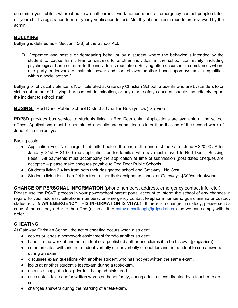determine your child's whereabouts (we call parents' work numbers and all emergency contact people stated on your child's registration form or yearly verification letter). Monthly absenteeism reports are reviewed by the admin.

# **BULLYING**

Bullying is defined as - Section 45(8) of the School Act:

❏ "repeated and hostile or demeaning behavior by a student where the behavior is intended by the student to cause harm, fear or distress to another individual in the school community, including psychological harm or harm to the individual's reputation. Bullying often occurs in circumstances where one party endeavors to maintain power and control over another based upon systemic inequalities within a social setting."

Bullying or physical violence is NOT tolerated at Gateway Christian School. Students who are bystanders to or victims of an act of bullying, harassment, intimidation, or any other safety concerns should immediately report the incident to school staff.

#### **BUSING:** Red Deer Public School District's Charter Bus (yellow) Service

RDPSD provides bus service to students living in Red Deer only. Applications are available at the school offices. Applications must be completed annually and submitted no later than the end of the second week of June of the current year.

Busing costs:

- Application Fee: No charge if submitted before the end of the end of June / after June  $\sim$  \$20.00 / After January 31st  $\sim$  \$10.00 (no application fee for families who have just moved to Red Deer.) Bussing Fees: All payments must accompany the application at time of submission (post dated cheques are accepted – please make cheques payable to Red Deer Public Schools.
- Students living 2.4 km from both their designated school and Gateway: No Cost
- Students living less than 2.4 km from either their designated school or Gateway: \$300/student/year.

**CHANGE OF PERSONAL INFORMATION** (phone numbers, address, emergency contact info, etc.) Please use the RSVP process in your powerschool parent portal account to inform the school of any changes in regard to your address, telephone numbers, or emergency contact telephone numbers, guardianship or custody status, etc. **IN AN EMERGENCY THIS INFORMATION IS VITAL!** If there is a change in custody, please send a copy of the custody order to the office (or email it to [cathy.mccullough@rdpsd.ab.ca\)](mailto:cathy.mccullough@rdpsd.ab.ca) so we can comply with the order.

## **CHEATING**

At Gateway Christian School, the act of cheating occurs when a student:

- copies or lends a homework assignment from/to another student.
- hands in the work of another student or a published author and claims it to be his own (plagiarism).
- communicates with another student verbally or nonverbally or enables another student to see answers during an exam.
- discusses exam questions with another student who has not yet written the same exam.
- looks at another student's test/exam during a test/exam.
- obtains a copy of a test prior to it being administered.
- uses notes, texts and/or written words on hands/body, during a test unless directed by a teacher to do so.
- changes answers during the marking of a test/exam.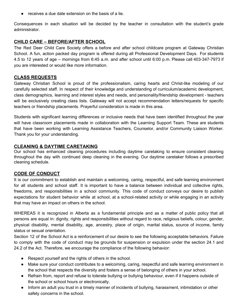● receives a due date extension on the basis of a lie.

Consequences in each situation will be decided by the teacher in consultation with the student's grade administrator.

#### **CHILD CARE – BEFORE/AFTER SCHOOL**

The Red Deer Child Care Society offers a before and after school childcare program at Gateway Christian School. A fun, action packed day program is offered during all Professional Development Days. For students 4.5 to 12 years of age – mornings from 6:45 a.m. and after school until 6:00 p.m. Please call 403-347-7973 if you are interested or would like more information.

#### **CLASS REQUESTS**

Gateway Christian School is proud of the professionalism, caring hearts and Christ-like modeling of our carefully selected staff. In respect of their knowledge and understanding of curriculum/academic development, class demographics, learning and interest styles and needs, and personality/friendship development - teachers will be exclusively creating class lists. Gateway will not accept recommendation letters/requests for specific teachers or friendship placements. Prayerful consideration is made in this area.

Students with significant learning differences or inclusive needs that have been identified throughout the year will have classroom placements made in collaboration with the Learning Support Team. These are students that have been working with Learning Assistance Teachers, Counselor, and/or Community Liaison Worker. Thank you for your understanding.

#### **CLEANING & DAYTIME CARETAKING**

Our school has enhanced cleaning procedures including daytime caretaking to ensure consistent cleaning throughout the day with continued deep cleaning in the evening. Our daytime caretaker follows a prescribed cleaning schedule.

#### **CODE OF CONDUCT**

It is our commitment to establish and maintain a welcoming, caring, respectful, and safe learning environment for all students and school staff. It is important to have a balance between individual and collective rights, freedoms, and responsibilities in a school community. This code of conduct conveys our desire to publish expectations for student behavior while at school, at a school-related activity or while engaging in an activity that may have an impact on others in the school.

WHEREAS it is recognized in Alberta as a fundamental principle and as a matter of public policy that all persons are equal in: dignity, rights and responsibilities without regard to race, religious beliefs, colour, gender, physical disability, mental disability, age, ancestry, place of origin, marital status, source of income, family status or sexual orientation.

Section 12 of the School Act is a reinforcement of our desire to see the following acceptable behaviors. Failure to comply with the code of conduct may be grounds for suspension or expulsion under the section 24.1 and 24.2 of the Act. Therefore, we encourage the compliance of the following behavior:

- Respect yourself and the rights of others in the school.
- Make sure your conduct contributes to a welcoming, caring, respectful and safe learning environment in the school that respects the diversity and fosters a sense of belonging of others in your school.
- Refrain from, report and refuse to tolerate bullying or bullying behaviour, even if it happens outside of the school or school hours or electronically.
- Inform an adult you trust in a timely manner of incidents of bullying, harassment, intimidation or other safety concerns in the school.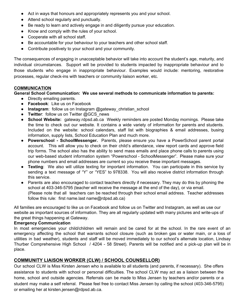- Act in ways that honours and appropriately represents you and your school.
- Attend school regularly and punctually.
- Be ready to learn and actively engage in and diligently pursue your education.
- Know and comply with the rules of your school.
- Cooperate with all school staff.
- Be accountable for your behaviour to your teachers and other school staff.
- Contribute positively to your school and your community.

The consequences of engaging in unacceptable behavior will take into account the student's age, maturity, and individual circumstances. Support will be provided to students impacted by inappropriate behaviour and to those students who engage in inappropriate behaviour. Examples would include: mentoring, restorative processes, regular check-ins with teachers or community liaison worker, etc.

#### **COMMUNICATION**

#### **General School Communication: We use several methods to communicate information to parents:**

- Directly emailing parents.
- **Facebook**: Like us on Facebook
- **Instagram**: follow us on Instagram @gateway\_christian\_school
- **Twitter**: follow us on Twitter @GCS\_news
- **School Website:** gateway.rdpsd.ab.ca Weekly reminders are posted Monday mornings. Please take the time to check out our website. It contains a wide variety of information for parents and students. Included on the website: school calendars, staff list with biographies & email addresses, busing information, supply lists, School Education Plan and much more.
- **Powerschool - SchoolMessenger.** Parents, please ensure you have a PowerSchool parent portal account. This will allow you to check on their child's attendance, view report cards and approve field trip forms. The school also has the ability to send mass emails and place phone calls to parents using our web-based student information system "Powerschool - SchoolMessenger". Please make sure your phone numbers and email addresses are current so you receive these important messages.
- **Texting**: We also will utilize texting for important information. You can participate in this service by sending a text message of "Y" or "YES" to 978338. You will also receive district information through this service.
- Parents are also encouraged to contact teachers directly if necessary. They may do this by phoning the school at 403-346-5795 (teacher will receive the message at the end of the day), or via email. (Please note that all teachers can be reached through their school email address. Teacher addresses follow this rule: first name.last name@rdpsd.ab.ca)

All families are encouraged to like us on Facebook and follow us on Twitter and Instagram, as well as use our website as important sources of information. They are all regularly updated with many pictures and write-ups of the great things happening at Gateway.

#### **Emergency Communication**

In most emergencies your child/children will remain and be cared for at the school. In the rare event of an emergency affecting the school that warrants school closure (such as broken gas or water main, or a loss of utilities in bad weather), students and staff will be moved immediately to our school's alternate location, Lindsay Thurber Comprehensive High School / 4204 - 58 Street). Parents will be notified and a pick-up plan will be in place.

#### **COMMUNITY LIAISON WORKER (CLW) / SCHOOL COUNSELLOR)**

Our school CLW is Miss Kirsten Jensen who is available to all students (and parents, if necessary). She offers assistance to students with school or personal difficulties. The school CLW may act as a liaison between the home, school and outside agencies. Referrals can be made to Miss Jensen by teachers and/or parents or a student may make a self referral. Please feel free to contact Miss Jensen by calling the school (403-346-5795) or emailing her at kirsten.jensen@rdpsd.ab.ca.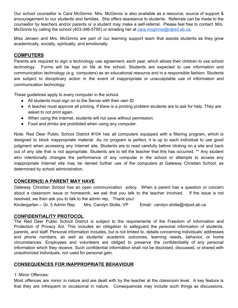Our school counsellor is Cara McGinnis. Mrs. McGinnis is also available as a resource, source of support & encouragement to our students and families. She offers assistance to students. Referrals can be made to the counsellor by teachers and/or parents or a student may make a self-referral. Please feel free to contact Mrs. McGinnis by calling the school (403-346-5795) or emailing her at [cara.mcginnis@rdpsd.ab.ca](mailto:cara.mcginnis@rdpsd.ab.ca).

Miss Jensen and Mrs. McGinnis are part of our learning support team that assists students as they grow academically, socially, spiritually, and emotionally.

#### **COMPUTERS**

Parents are required to sign a technology use agreement, each year, which allows their children to use school technology. Forms will be kept on file at the school. Students are expected to use information and communication technology (e.g. computers) as an educational resource and in a responsible fashion. Students are subject to disciplinary action in the event of inappropriate or unacceptable use of information and communication technology.

These guidelines apply to every computer in the school.

- All students must sign on to the Server with their own ID.
- A teacher must approve all printing. If there is a printing problem students are to ask for help. They are asked to not print again.
- When using the Internet, students will not save without permission.
- Food and drinks are prohibited when using any computer.

Note: Red Deer Public School District #104 has all computers equipped with a filtering program, which is designed to block inappropriate material. As no program is perfect, it is up to each individual to use good judgment when accessing any Internet site. Students are to read carefully before clicking on a site and back out of any site that is not appropriate. Students are to tell the teacher that this has occurred. \*\* Any student who intentionally changes the performance of any computer in the school or attempts to access any inappropriate Internet site may be denied further use of the computers at Gateway Christian School, as determined by school administration.

## **CONCERN(S) A PARENT MAY HAVE**

Gateway Christian School has an open communication policy. When a parent has a question or concern about a classroom issue or homework, we ask that you talk to the teacher involved. If the issue is not resolved, we then ask you to talk to the admin rep, Thank you!

Kindergarten – Gr. 5 Admin Rep Mrs. Carolyn Stolte, VP Email: carolyn.stolte@rdpsd.ab.ca

#### **CONFIDENTIALITY PROTOCOL**

The Red Deer Public School District is subject to the requirements of the Freedom of Information and Protection of Privacy Act. This includes an obligation to safeguard the personal information of students, parents, and staff. Personal information includes, but is not limited to, details concerning individuals' addresses and phone numbers, as well as students' academic outcomes, learning needs, behavior, or home circumstances. Employees and volunteers are obliged to preserve the confidentiality of any personal information which they receive. Such confidential information shall not be disclosed, discussed, or shared with unauthorized individuals, nor used for personal gain.

#### **CONSEQUENCES FOR INAPPROPRIATE BEHAVIOUR**

1. Minor Offences:

Most offences are minor in nature and are dealt with by the teacher at the classroom level. A key feature is that they are infrequent or occasional in nature. Consequences may include such things as discussions,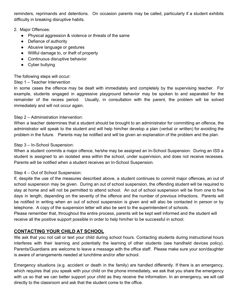reminders, reprimands and detentions. On occasion parents may be called, particularly if a student exhibits difficulty in breaking disruptive habits.

#### 2. Major Offences:

- Physical aggression & violence or threats of the same
- Defiance of authority
- Abusive language or gestures
- Willful damage to, or theft of property
- Continuous disruptive behavior
- Cyber bullying

The following steps will occur:

#### Step 1 – Teacher Intervention

In some cases the offence may be dealt with immediately and completely by the supervising teacher. For example, students engaged in aggressive playground behavior may be spoken to and separated for the remainder of the recess period. Usually, in consultation with the parent, the problem will be solved immediately and will not occur again.

#### Step 2 – Administration Intervention:

When a teacher determines that a student should be brought to an administrator for committing an offence, the administrator will speak to the student and will help him/her develop a plan (verbal or written) for avoiding the problem in the future. Parents may be notified and will be given an explanation of the problem and the plan.

#### Step 3 – In-School Suspension:

When a student commits a major offence, he/she may be assigned an In-School Suspension. During an ISS a student is assigned to an isolated area within the school, under supervision, and does not receive recesses. Parents will be notified when a student receives an In-School Suspension.

#### Step 4 – Out of School Suspension:

If, despite the use of the measures described above, a student continues to commit major offences, an out of school suspension may be given. During an out of school suspension, the offending student will be required to stay at home and will not be permitted to attend school. An out of school suspension will be from one to five days in length, depending on the severity of the offence and the number of previous infractions. Parents will be notified in writing when an out of school suspension is given and will also be contacted in person or by telephone. A copy of the suspension letter will also be sent to the superintendent of schools.

Please remember that, throughout the entire process, parents will be kept well informed and the student will receive all the positive support possible in order to help him/her to be successful in school.

## **CONTACTING YOUR CHILD AT SCHOOL**

We ask that you not call or text your child during school hours. Contacting students during instructional hours interferes with their learning and potentially the learning of other students (see handheld devices policy). Parents/Guardians are welcome to leave a message with the office staff. Please make sure your son/daughter is aware of arrangements needed at lunchtime and/or after school.

Emergency situations (e.g. accident or death in the family) are handled differently. If there is an emergency, which requires that you speak with your child on the phone immediately, we ask that you share the emergency with us so that we can better support your child as they receive the information. In an emergency, we will call directly to the classroom and ask that the student come to the office.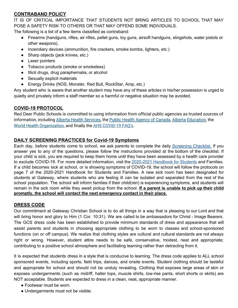# **CONTRABAND POLICY**

IT IS OF CRITICAL IMPORTANCE THAT STUDENTS NOT BRING ARTICLES TO SCHOOL THAT MAY POSE A SAFETY RISK TO OTHERS OR THAT MAY OFFEND SOME INDIVIDUALS.

The following is a list of a few items classified as contraband:

- Firearms (handguns, rifles, air rifles, pellet guns, toy guns, airsoft handguns, slingshots, water pistols or other weapons).
- Incendiary devices (ammunition, fire crackers, smoke bombs, lighters, etc.)
- Sharp objects (jack knives, etc.)
- Laser pointers
- Tobacco products (smoke or smokeless)
- Illicit drugs, drug paraphernalia, or alcohol
- Sexually explicit materials
- Energy Drinks (NOS, Monster, Red Bull, RockStar, Amp, etc.)

Any student who is aware that another student may have any of these articles in his/her possession is urged to quietly and privately inform a staff member so a harmful or negative situation may be avoided.

## **COVID-19 PROTOCOL**

Red Deer Public Schools is committed to using information from official public agencies as trusted sources of information, including Alberta Health [Services,](https://www.alberta.ca/coronavirus-info-for-albertans.aspx) the Public Health Agency of [Canada](https://www.canada.ca/en/public-health.html), [Alberta](https://www.alberta.ca/education.aspx) [Education,](https://www.alberta.ca/education.aspx) the World Health [Organization](https://www.who.int/emergencies/diseases/novel-coronavirus-2019), and finally the AHS [COVID-19](https://drive.google.com/file/d/103-DYoEzIm-6WKy8ObgoXpJaYP1ukrxN/view?usp=sharing) FAQ's.

#### **DAILY SCREENING PRACTICES for Covid-19 Symptoms**

Each day, before students come to school, we ask parents to complete the daily [Screening](https://drive.google.com/file/d/1dv7Sr_IcRPyEkPvjGuzdd71B8CDMOACG/view) Checklist. If you answer yes to any of the questions, please follow the instructions provided at the bottom of the checklist. If your child is sick, you are required to keep them home until they have been assessed by a health care provider to exclude COVID-19. For more detailed information, visit the [2020-2021](https://docs.google.com/document/d/1d4MEOhb-KnSTp_ZERB3SZQo-T5zjLPZCW_dlDlOagPA/edit) Handbook for Students and Families. If a child becomes sick at school, or is showing symptoms of COVID-19, the school will follow the protocols on page 7 of the 2020-2021 Handbook for Students and Families. A new sick room has been designated for students at Gateway, where students who are feeling ill can be isolated and separated from the rest of the school population. The school will inform families if their child(ren) is experiencing symptoms, and students will remain in the sick room while they await pickup from the school. **If a parent is unable to pick up their child promptly, the school will contact the next emergency contact in their place.**

#### **DRESS CODE**

Our commitment at Gateway Christian School is to do all things in a way that is pleasing to our Lord and that will bring honor and glory to Him (1 Cor. 10:31). We are called to be ambassadors for Christ - Image Bearers. The GCS dress code has been established to provide minimum standards of dress and appearance that will assist parents and students in choosing appropriate clothing to be worn to classes and school-sponsored functions (on or off campus). We realize that clothing styles are cultural and cultural standards are not always right or wrong. However, student attire needs to be safe, conservative, modest, neat and appropriate; contributing to a positive school atmosphere and facilitating learning rather than detracting from it.

It is expected that students dress in a style that is conducive to learning. The dress code applies to ALL school sponsored events, including sports, field trips, dances, and onsite events. Student clothing should be tasteful and appropriate for school and should not be unduly revealing. Clothing that exposes large areas of skin or exposes undergarments (such as midriff, halter tops, muscle shirts, low-rise pants, short shorts or skirts) are NOT acceptable. Students are expected to dress in a clean, neat, appropriate manner.

- Footwear must be worn.
- Undergarments must not be visible.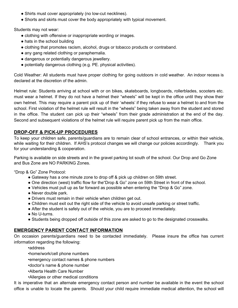- Shirts must cover appropriately (no low-cut necklines).
- Shorts and skirts must cover the body appropriately with typical movement.

Students may not wear:

- clothing with offensive or inappropriate wording or images.
- hats in the school building
- clothing that promotes racism, alcohol, drugs or tobacco products or contraband.
- any gang related clothing or paraphernalia.
- dangerous or potentially dangerous jewellery.
- potentially dangerous clothing (e.g. PE. physical activities).

Cold Weather: All students must have proper clothing for going outdoors in cold weather. An indoor recess is declared at the discretion of the admin.

Helmet rule: Students arriving at school with or on bikes, skateboards, longboards, rollerblades, scooters etc. must wear a helmet. If they do not have a helmet their "wheels" will be kept in the office until they show their own helmet. This may require a parent pick up of their 'wheels' if they refuse to wear a helmet to and from the school. First violation of the helmet rule will result in the "wheels" being taken away from the student and stored in the office. The student can pick up their "wheels" from their grade administration at the end of the day. Second and subsequent violations of the helmet rule will require parent pick up from the main office.

#### **DROP-OFF & PICK-UP PROCEDURES**

To keep your children safe, parents/guardians are to remain clear of school entrances, or within their vehicle, while waiting for their children. If AHS's protocol changes we will change our policies accordingly. Thank you for your understanding & cooperation.

Parking is available on side streets and in the gravel parking lot south of the school. Our Drop and Go Zone and Bus Zone are NO PARKING Zones.

"Drop & Go" Zone Protocol:

- Gateway has a one minute zone to drop off & pick up children on 59th street.
- One direction (west) traffic flow for the"Drop & Go" zone on 59th Street in front of the school.
- Vehicles must pull up as far forward as possible when entering the "Drop & Go" zone.
- Never double park.
- Drivers must remain in their vehicle when children get out.
- Children must exit out the right side of the vehicle to avoid unsafe parking or street traffic.
- After the student is safely out of the vehicle, you are to proceed immediately.
- No U-turns.
- Students being dropped off outside of this zone are asked to go to the designated crosswalks.

#### **EMERGENCY PARENT CONTACT INFORMATION**

On occasion parents/guardians need to be contacted immediately. Please insure the office has current information regarding the following:

•address

•home/work/cell phone numbers

•emergency contact names & phone numbers

•doctor's name & phone number

- •Alberta Health Care Number
- •Allergies or other medical conditions

It is imperative that an alternate emergency contact person and number be available in the event the school office is unable to locate the parents. Should your child require immediate medical attention, the school will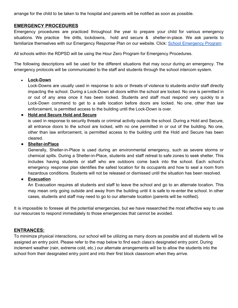arrange for the child to be taken to the hospital and parents will be notified as soon as possible.

#### **EMERGENCY PROCEDURES**

Emergency procedures are practiced throughout the year to prepare your child for various emergency situations. We practice fire drills, lockdowns, hold and secure & shelter-in-place. We ask parents to familiarize themselves with our Emergency Response Plan on our website. Click: School [Emergency](http://www.rdpsd.ab.ca/documents/general/ParentGuide.pdf) Program

All schools within the RDPSD will be using the Hour Zero Program for Emergency Procedures.

The following descriptions will be used for the different situations that may occur during an emergency. The emergency protocols will be communicated to the staff and students through the school intercom system.

#### • **Lock-Down**

Lock-Downs are usually used in response to acts or threats of violence to students and/or staff directly impacting the school. During a Lock-Down all doors within the school are locked. No one is permitted in or out of any area once it has been locked. Students and staff must respond very quickly to a Lock-Down command to get to a safe location before doors are locked. No one, other than law enforcement, is permitted access to the building until the Lock-Down is over.

#### ● **Hold and Secure Hold and Secure**

is used in response to security threats or criminal activity outside the school. During a Hold and Secure, all entrance doors to the school are locked, with no one permitted in or out of the building. No one, other than law enforcement, is permitted access to the building until the Hold and Secure has been cleared.

#### ● **Shelter-inPlace**

Generally, Shelter-in-Place is used during an environmental emergency, such as severe storms or chemical spills. During a Shelter-in-Place, students and staff retreat to safe zones to seek shelter. This includes having students or staff who are outdoors come back into the school. Each school's emergency response plan identifies the safest location for its occupants and how to seal a room from hazardous conditions. Students will not be released or dismissed until the situation has been resolved.

#### ● **Evacuation**

An Evacuation requires all students and staff to leave the school and go to an alternate location. This may mean only going outside and away from the building until it is safe to re-enter the school. In other cases, students and staff may need to go to our alternate location (parents will be notified).

It is impossible to foresee all the potential emergencies, but we have researched the most effective way to use our resources to respond immediately to those emergencies that cannot be avoided.

#### **ENTRANCES:**

To minimize physical interactions, our school will be utilizing as many doors as possible and all students will be assigned an entry point. Please refer to the map below to find each class's designated entry point. During inclement weather (rain, extreme cold, etc.) our alternate arrangements will be to allow the students into the school from their designated entry point and into their first block classroom when they arrive.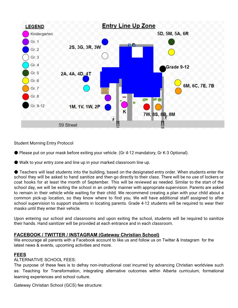

Student Morning Entry Protocol

- Please put on your mask before exiting your vehicle. (Gr 4-12 mandatory, Gr K-3 Optional).
- Walk to your entry zone and line up in your marked classroom line up.

● Teachers will lead students into the building, based on the designated entry order. When students enter the school they will be asked to hand sanitize and then go directly to their class. There will be no use of lockers or coat hooks for at least the month of September. This will be reviewed as needed. Similar to the start of the school day, we will be exiting the school in an orderly manner with appropriate supervision. Parents are asked to remain in their vehicle while waiting for their child. We recommend creating a plan with your child about a common pick-up location, so they know where to find you. We will have additional staff assigned to after school supervision to support students in locating parents. Grade 4-12 students will be required to wear their masks until they enter their vehicle.

Upon entering our school and classrooms and upon exiting the school, students will be required to sanitize their hands. Hand sanitizer will be provided at each entrance and in each classroom.

#### **FACEBOOK / TWITTER / INSTAGRAM (Gateway Christian School)**

We encourage all parents with a Facebook account to like us and follow us on Twitter & Instagram for the latest news & events, upcoming activities and more.

#### **FEES**

#### ALTERNATIVE SCHOOL FEES:

The purpose of these fees is to defray non-instructional cost incurred by advancing Christian worldview such as: Teaching for Transformation, integrating alternative outcomes within Alberta curriculum, formational learning experiences and school culture.

Gateway Christian School (GCS) fee structure: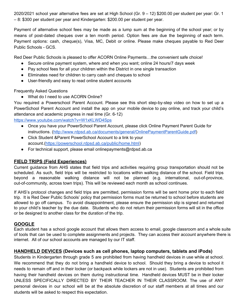2020/2021 school year alternative fees are set at High School (Gr. 9 – 12) \$200.00 per student per year: Gr. 1 – 8: \$300 per student per year and Kindergarten: \$200.00 per student per year.

Payment of alternative school fees may be made as a lump sum at the beginning of the school year; or by means of post-dated cheques over a ten month period. Option fees are due the beginning of each term. Payment options: cash, cheque(s), Visa, MC, Debit or online. Please make cheques payable to Red Deer Public Schools - GCS.

Red Deer Public Schools is pleased to offer ACORN Online Payments…the convenient safe choice!

- Secure online payment system, where and when you want; online 24 hours/7 days week
- Pay school fees for all your children within the District in one single transaction
- Eliminates need for children to carry cash and cheques to school
- User-friendly and easy to read online student accounts

Frequently Asked Questions

● What do I need to use ACORN Online?

You required a Powerschool Parent Account. Please see this short step-by-step video on how to set up a PowerSchool Parent Account and install the app on your mobile device to pay online, and track your child's attendance and academic progress in real time (Gr. 6-12)

<https://www.youtube.com/watch?v=W1xKLWD4Sps>

- Once you have your PowerSchool Parent Account, please click Online Payment Parent Guide for instructions. [\(http://www.rdpsd.ab.ca/documents/general/OnlinePaymentParentGuide.pdf\)](http://www.rdpsd.ab.ca/documents/general/OnlinePaymentParentGuide.pdf)
- Click Student &Parent PowerSchool Account to a link to your account.[\(https://powerschool.rdpsd.ab.ca/public/home.html](https://powerschool.rdpsd.ab.ca/public/home.html))
- For technical support, please email onlinepayments@rdpsd.ab.ca

# **FIELD TRIPS (Field Experiences)**

Current guidance from AHS states that field trips and activities requiring group transportation should not be scheduled. As such, field trips will be restricted to locations within walking distance of the school. Field trips beyond a reasonable walking distance will not be planned (e.g. international, out-of-province, out-of-community, across town trips). This will be reviewed each month as school continues.

If AHS's protocol changes and field trips are permitted, permission forms will be sent home prior to each field trip. It is Red Deer Public Schools' policy that permission forms must be returned to school before students are allowed to go off campus. To avoid disappointment, please ensure the permission slip is signed and returned to your child's teacher by the due date. Students who do not return their permission forms will sit in the office or be designed to another class for the duration of the trip.

## **GOOGLE**

Each student has a school google account that allows them access to email, google classroom and a whole suite of tools that can be used to complete assignments and projects. They can access their account anywhere there is internet. All of our school accounts are managed by our IT staff.

## **HANDHELD DEVICES (Devices such as cell phones, laptop computers, tablets and iPods)**

Students in Kindergarten through grade 5 are prohibited from having handheld devices in use while at school. We recommend that they do not bring a handheld device to school. Should they bring a device to school it needs to remain off and in their locker (or backpack while lockers are not in use). Students are prohibited from having their handheld devices on them during instructional time. Handheld devices MUST be in their locker UNLESS SPECIFICALLY DIRECTED BY THEIR TEACHER IN THEIR CLASSROOM. The use of ANY personal devices in our school will be at the absolute discretion of our staff members at all times and our students will be asked to respect this expectation.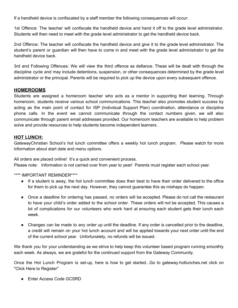If a handheld device is confiscated by a staff member the following consequences will occur:

1st Offence: The teacher will confiscate the handheld device and hand it off to the grade level administrator. Students will then need to meet with the grade level administrator to get the handheld device back.

2nd Offence: The teacher will confiscate the handheld device and give it to the grade level administrator. The student's parent or guardian will then have to come in and meet with the grade level administrator to get the handheld device back.

3rd and Following Offences: We will view the third offence as defiance. These will be dealt with through the discipline cycle and may include detentions, suspension, or other consequences determined by the grade level administrator or the principal. Parents will be required to pick up the device upon every subsequent offence.

#### **HOMEROOMS**

Students are assigned a homeroom teacher who acts as a mentor in supporting their learning. Through homeroom, students receive various school communications. This teacher also promotes student success by acting as the main point of contact for ISP (Individual Support Plan) coordination, attendance or discipline phone calls. In the event we cannot communicate through the contact numbers given, we will also communicate through parent email addresses provided. Our homeroom teachers are available to help problem solve and provide resources to help students become independent learners.

#### **HOT LUNCH:**

GatewayChristian School's hot lunch committee offers a weekly hot lunch program. Please watch for more information about start date and menu options.

All orders are placed online! It's a quick and convenient process. Please note: Information is not carried over from year to year! Parents must register each school year.

\*\*\*\* IMPORTANT REMINDER\*\*\*\*

- If a student is away, the hot lunch committee does their best to have their order delivered to the office for them to pick up the next day. However, they cannot guarantee this as mishaps do happen.
- Once a deadline for ordering has passed, no orders will be accepted. Please do not call the restaurant to have your child's order added to the school order. These orders will not be accepted. This causes a lot of complications for our volunteers who work hard at ensuring each student gets their lunch each week.
- Changes can be made to any order up until the deadline. If any order is cancelled prior to the deadline, a credit will remain on your hot lunch account and will be applied towards your next order until the end of the current school year. Unfortunately, no refunds will be issued.

We thank you for your understanding as we strive to help keep this volunteer based program running smoothly each week. As always, we are grateful for the continued support from the Gateway Community.

Once the Hot Lunch Program is set-up, here is how to get started...Go to gateway.hotlunches.net click on "Click Here to Register"

● Enter Access Code GCSRD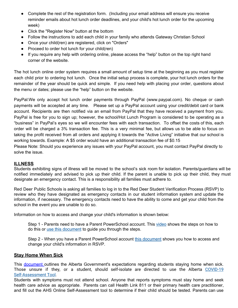- Complete the rest of the registration form. (Including your email address will ensure you receive reminder emails about hot lunch order deadlines, and your child's hot lunch order for the upcoming week)
- Click the "Register Now" button at the bottom
- Follow the instructions to add each child in your family who attends Gateway Christian School
- Once your child(ren) are registered, click on "Orders"
- Proceed to order hot lunch for your child(ren)
- If you require any help with ordering online, please access the "help" button on the top right hand corner of the website.

The hot lunch online order system requires a small amount of setup time at the beginning as you must register each child prior to ordering hot lunch. Once the initial setup process is complete, your hot lunch orders for the remainder of the year should be quick and simple. If you need help with placing your order, questions about the menu or dates; please use the "help" button on the website.

PayPal:We only accept hot lunch order payments through PayPal (www.paypal.com). No cheque or cash payments will be accepted at any time. Please set up a PayPal account using your credit/debit card or bank account. Recipients are then notified via an email from PayPal that they have received a payment from you. PayPal is free for you to sign up; however, the school/Hot Lunch Program is considered to be operating as a "business" in PayPal's eyes so we will encounter fees with each transaction. To offset the costs of this, each order will be charged a 3% transaction fee. This is a very minimal fee, but allows us to be able to focus on taking the profit received from all orders and applying it towards the "Active Living" initiative that our school is working towards. Example: A \$5 order would have an additional transaction fee of \$0.15

Please Note: Should you experience any issues with your PayPal account, you must contact PayPal directly to solve the issue.

#### **ILLNESS**

Students exhibiting signs of illness will be moved to the school's sick room for isolation. Parents/guardians will be notified immediately and advised to pick up their child. If the parent is unable to pick up their child, they must designate an emergency contact. This is a responsibility all families must adhere to.

Red Deer Public Schools is asking all families to log in to the Red Deer Student Verification Process (RSVP) to review who they have designated as emergency contacts in our student information system and update the information, if necessary. The emergency contacts need to have the ability to come and get your child from the school in the event you are unable to do so.

Information on how to access and change your child's information is shown below:

Step 1 - Parents need to have a Parent PowerSchool account. This [video](https://www.youtube.com/watch?v=WzZRhyc3mQM) shows the steps on how to do this or use this [document](https://drive.google.com/file/d/1-6shL9FJ8bWKl95VWO_jdAtDeMceMfYv/view?usp=sharing) to guide you through the steps.

Step 2 - When you have a Parent PowerSchool account this [document](https://drive.google.com/file/d/1-Xv-kU8sfbmZDXqgx4OzPxgjDg6fX8OB/view?usp=sharing) shows you how to access and change your child's information in RSVP.

#### **Stay Home When Sick**

This [document](https://drive.google.com/file/d/10kkqv_Eq9KwpVR8z_Omild_0FT9YK_yI/view?usp=sharing) outlines the Alberta Government's expectations regarding students staying home when sick. Those unsure if they, or a student, should self-isolate are directed to use the Alberta [COVID-19](https://myhealth.alberta.ca/journey/covid-19/Pages/COVID-Self-Assessment.aspx) [Self-Assessment](https://myhealth.alberta.ca/journey/covid-19/Pages/COVID-Self-Assessment.aspx) Tool.

Students with symptoms must not attend school. Anyone that reports symptoms must stay home and seek health care advice as appropriate. Parents can call Health Link 811 or their primary health care practitioner, and fill out the AHS Online Self-Assessment tool to determine if their child should be tested. Parents can us[e](https://drive.google.com/file/d/15AICoaloI3Y7WvbFLJO-XQpVMu1oRq_k/view?usp=sharing)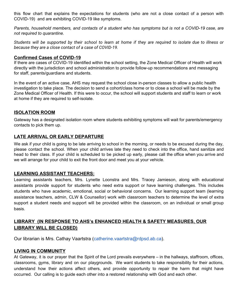this flow [chart](https://drive.google.com/file/d/15AICoaloI3Y7WvbFLJO-XQpVMu1oRq_k/view?usp=sharing) that explains the expectations for students (who are not a close contact of a person with COVID-19) and are exhibiting COVID-19 like symptoms.

Parents, household members, and contacts of a student who has symptoms but is not a COVID-19 case, are *not required to quarantine.*

Students will be supported by their school to learn at home if they are required to isolate due to illness or *because they are a close contact of a case of COVID-19.*

#### **Confirmed Cases of COVID-19**

If there are cases of COVID-19 identified within the school setting, the Zone Medical Officer of Health will work directly with the jurisdiction and school administration to provide follow-up recommendations and messaging for staff, parents/guardians and students.

In the event of an active case, AHS may request the school close in-person classes to allow a public health investigation to take place. The decision to send a cohort/class home or to close a school will be made by the Zone Medical Officer of Health. If this were to occur, the school will support students and staff to learn or work at home if they are required to self-isolate.

#### **ISOLATION ROOM**

Gateway has a designated isolation room where students exhibiting symptoms will wait for parents/emergency contacts to pick them up.

#### **LATE ARRIVAL OR EARLY DEPARTURE**

We ask if your child is going to be late arriving to school in the morning, or needs to be excused during the day, please contact the school. When your child arrives late they need to check into the office, hand sanitize and head to their class. If your child is scheduled to be picked up early, please call the office when you arrive and we will arrange for your child to exit the front door and meet you at your vehicle.

#### **LEARNING ASSISTANT TEACHERS:**

Learning assistants teachers, Mrs. Lynette Loonstra and Mrs. Tracey Jamieson, along with educational assistants provide support for students who need extra support or have learning challenges. This includes students who have academic, emotional, social or behavioral concerns. Our learning support team (learning assistance teachers, admin, CLW & Counsellor) work with classroom teachers to determine the level of extra support a student needs and support will be provided within the classroom, on an individual or small group basis.

# **LIBRARY (IN RESPONSE TO AHS's ENHANCED HEALTH & SAFETY MEASURES, OUR LIBRARY WILL BE CLOSED)**

Our librarian is Mrs. Cathay Vaartstra ([catherine.vaartstra@rdpsd.ab.ca\)](mailto:catherine.vaartstra@rdpsd.ab.ca).

#### **LIVING IN COMMUNITY**

At Gateway, it is our prayer that the Spirit of the Lord prevails everywhere – in the hallways, staffroom, offices, classrooms, gyms, library and on our playgrounds. We want students to take responsibility for their actions, understand how their actions affect others, and provide opportunity to repair the harm that might have occurred. Our calling is to guide each other into a restored relationship with God and each other.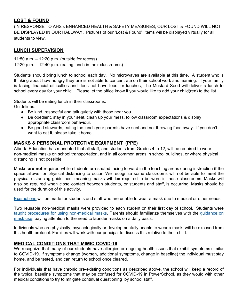## **LOST & FOUND**

(IN RESPONSE TO AHS's ENHANCED HEALTH & SAFETY MEASURES, OUR LOST & FOUND WILL NOT BE DISPLAYED IN OUR HALLWAY. Pictures of our 'Lost & Found' items will be displayed virtually for all students to view.

#### **LUNCH SUPERVISION**

11:50 a.m. – 12:20 p.m. (outside for recess) 12:20 p.m. – 12:40 p.m. (eating lunch in their classrooms)

Students should bring lunch to school each day. No microwaves are available at this time. A student who is thinking about how hungry they are is not able to concentrate on their school work and learning. If your family is facing financial difficulties and does not have food for lunches, The Mustard Seed will deliver a lunch to school every day for your child. Please let the office know if you would like to add your child(ren) to the list.

Students will be eating lunch in their classrooms. Guidelines:

- Be kind, respectful and talk quietly with those near you.
- Be obedient, stay in your seat, clean up your mess, follow classroom expectations & display appropriate classroom behaviour.
- Be good stewards, eating the lunch your parents have sent and not throwing food away. If you don't want to eat it, please take it home.

## **MASKS & PERSONAL PROTECTIVE EQUIPMENT (PPE)**

Alberta Education has mandated that all staff, and students from Grades 4 to 12, will be required to wear non-medical masks on school transportation, and in all common areas in school buildings, or where physical distancing is not possible.

Masks **are not** required while students are seated facing forward in the teaching areas during instruction **if** the space allows for physical distancing to occur. We recognize some classrooms will not be able to meet the physical distancing guidelines, meaning masks **will be** required to be worn in those classrooms. Masks will also be required when close contact between students, or students and staff, is occurring. Masks should be used for the duration of this activity.

[Exemptions](https://open.alberta.ca/publications/covid-19-information-guidance-school-re-entry-scenario-1) will be made for students and staff who are unable to wear a mask due to medical or other needs.

Two reusable non-medical masks were provided to each student on their first day of school. Students were taught procedures for using [non-medical](https://drive.google.com/file/d/1-2gJLAjK7hgFMDgorjFEUQhhyL3Jphvc/view?usp=sharing) masks. Parents should familiarize themselves with the [guidance](https://www.alberta.ca/masks.aspx#toc-3) on [mask](https://www.alberta.ca/masks.aspx#toc-3) use, paying attention to the need to launder masks on a daily basis.

Individuals who are physically, psychologically or developmentally unable to wear a mask, will be excused from this health protocol. Families will work with our principal to discuss this relative to their child.

#### **MEDICAL CONDITIONS THAT MIMIC COVID-19**

We recognize that many of our students have allergies or ongoing health issues that exhibit symptoms similar to COVID-19. If symptoms change (worsen, additional symptoms, change in baseline) the individual must stay home, and be tested, and can return to school once cleared.

For individuals that have chronic pre-existing conditions as described above, the school will keep a record of the typical baseline symptoms that may be confused for COVID-19 in PowerSchool, as they would with other medical conditions to try to mitigate continual questioning by school staff.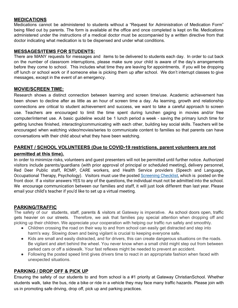#### **MEDICATIONS**

Medications cannot be administered to students without a "Request for Administration of Medication Form" being filled out by parents. The form is available at the office and once completed is kept on file. Medications administered under the instructions of a medical doctor must be accompanied by a written directive from that doctor indicating what medication is to be dispensed and under what conditions.

#### **MESSAGES/ITEMS FOR STUDENTS:**

There are MANY requests for messages and items to be delivered to students each day. In order to cut back on the number of classroom interruptions, please make sure your child is aware of the day's arrangements before they come to school. This includes what time they are leaving for appointments, if you will be dropping off lunch or school work or if someone else is picking them up after school. We don't interrupt classes to give messages, except in the event of an emergency.

#### **MOVIE/SCREEN TIME:**

Research shows a distinct connection between learning and screen time/use. Academic achievement has been shown to decline after as little as an hour of screen time a day. As learning, growth and relationship connections are critical to student achievement and success, we want to take a careful approach to screen use. Teachers are encouraged to limit the time spent during lunchen gaging in movies and/or free computer/internet use. A basic guideline would be 1 lunch period a week - saving the primary lunch time for getting lunches finished, interacting/communicating with each other, building key social skills. Teachers will be encouraged when watching video/movies/series to communicate content to families so that parents can have conversations with their child about what they have been watching.

# **PARENT / SCHOOL VOLUNTEERS (Due to COVID-19 restrictions, parent volunteers are not permitted at this time).**

In order to minimize risks, volunteers and guest presenters will not be permitted until further notice. Authorized visitors include parents/guardians (with prior approval of principal or scheduled meeting), delivery personnel, Red Deer Public staff, RCMP, CARE workers, and Health Service providers (Speech and Language, Occupational Therapy, Psychology). Visitors must use the posted [Screening](https://drive.google.com/file/d/1AVbyZ9Vn_TBXQ3eEf7vEAm3H8-PudbCm/view) Checklist, which is posted on the front door. If a visitor answers YES to any of the questions, the individual must not be admitted into the school. We encourage communication between our families and staff, it will just look different than last year. Please email your child's teacher if you'd like to set up a virtual meeting.

#### **PARKING/TRAFFIC**

The safety of our students, staff, parents & visitors at Gateway is imperative. As school doors open, traffic gets heavier on our streets. Therefore, we ask that families pay special attention when dropping off and picking up their children. We appreciate your cooperation with helping our traffic run safely and smoothly.

- Children crossing the road on their way to and from school can easily get distracted and step into harm's way. Slowing down and being vigilant is crucial to keeping everyone safe.
- Kids are small and easily distracted, and for drivers, this can create dangerous situations on the roads. Be vigilant and alert behind the wheel. You never know when a small child might step out from between parked cars or off a sidewalk. Your fast reflexes might be needed to prevent an accident.
- Following the posted speed limit gives drivers time to react in an appropriate fashion when faced with unexpected situations.

## **PARKING / DROP OFF & PICK UP**

Ensuring the safety of our students to and from school is a #1 priority at Gateway ChristianSchool. Whether students walk, take the bus, ride a bike or ride in a vehicle they may face many traffic hazards. Please join with us in promoting safe driving, drop off, pick up and parking practices.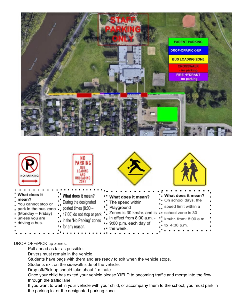



## DROP OFF/PICK up zones:

Pull ahead as far as possible.

Drivers must remain in the vehicle.

Students have bags with them and are ready to exit when the vehicle stops.

Students exit on the sidewalk side of the vehicle.

Drop off/Pick up should take about 1 minute.

Once your child has exited your vehicle please YIELD to oncoming traffic and merge into the flow through the traffic lane.

If you want to wait in your vehicle with your child, or accompany them to the school; you must park in the parking lot or the designated parking zone.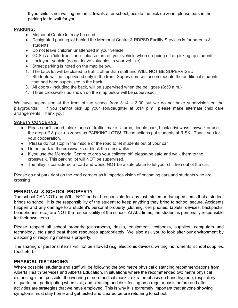If you child is not waiting on the sidewalk after school, beside the pick up zone, please park in the parking lot to wait for you.

#### **PARKING:**

- Memorial Centre lot may be used.
- Designated parking lot behind the Memorial Centre & RDPSD Facility Services is for parents & students.
- Do not leave children unattended in your vehicle.
- GCS is an 'idle-free' zone please turn off your vehicle when dropping off or picking up students.
- Lock your vehicle (do not leave valuables in your vehicle).
- Street parking is noted on the map below.
- 1. The back lot will be closed to traffic other than staff and WILL NOT BE SUPERVISED.
- 2. Students will be supervised only in the front. Supervisors will accommodate the additional students that had been supervised in the back.
- 3. All doors including the back, will be supervised when the bell goes (8:30 a.m.)
- 4. Three crosswalks as shown on the map below will be supervised.

We have supervision at the front of the school from  $3:14 - 3:30$  but we do not have supervision on the playgrounds. If you cannot pick up your son/daughter at 3:14 p.m., please make alternate child care arrangements. Thank you!

#### **SAFETY CONCERNS:**

- Please don't speed, block lanes of traffic, make U turns, double park, block driveways, jaywalk or use the drop-off & pick-up zones as PARKING LOTS! These actions put students at RISK! Thank you for your cooperation.
- Please do not stop in the middle of the road to let students out of your car
- Do not park in the crosswalks or block the crosswalks
- If you use the Memorial Centre to drop your children off, please be safe and walk them to the crosswalk. This parking lot will NOT be supervised.
- The alley is considered a road and would NOT be a safe place to let your children out of the car.

Please do not park right on the road corners as it impedes vision of oncoming cars and students who are crossing

## **PERSONAL & SCHOOL PROPERTY**

The school CANNOT and WILL NOT be held responsible for any lost, stolen or damaged items that a student brings to school. It is the responsibility of the student to keep anything they bring to school secure. Accidents happen and any damage to a student's personal property (clothing, cell phones, tablets, devices, backpacks, headphones, etc.) are NOT the responsibility of the school. At ALL times, the student is personally responsible for their own items.

Please respect all school property (classrooms, desks, equipment, textbooks, supplies, computers and technology, etc.) and treat these resources appropriately. We also ask you to look after our environment by disposing or recycling materials properly.

The sharing of personal items will not be allowed (e.g. electronic devices, writing instruments, school supplies, food, etc.).

#### **PHYSICAL DISTANCING**

Where possible, students and staff will be following the two metre physical distancing recommendations from Alberta Health Services and Alberta Education. In situations where the recommended two metre physical distancing is not possible, the wearing of non-medical masks; extra emphasis on hand hygiene; respiratory etiquette; not participating when sick; and cleaning and disinfecting on a regular basis before and after activities are strategies that we have employed. This is why it is extremely important that anyone showing symptoms must stay home and get tested and cleared before returning to school.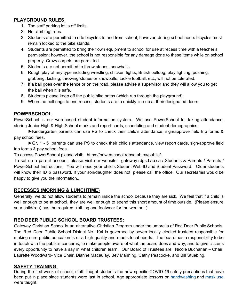# **PLAYGROUND RULES**

- 1. The staff parking lot is off limits.
- 2. No climbing trees.
- 3. Students are permitted to ride bicycles to and from school; however, during school hours bicycles must remain locked to the bike stands.
- 4. Students are permitted to bring their own equipment to school for use at recess time with a teacher's permission; however, the school is not responsible for any damage done to these items while on school property. Crazy carpets are permitted.
- 5. Students are not permitted to throw stones, snowballs.
- 6. Rough play of any type including wrestling, chicken fights, British bulldog, play fighting, pushing, grabbing, kicking, throwing stones or snowballs, tackle football, etc., will not be tolerated.
- 7. If a ball goes over the fence or on the road, please advise a supervisor and they will allow you to get the ball when it is safe.
- 8. Students please keep off the public bike paths (which run through the playground)
- 9. When the bell rings to end recess, students are to quickly line up at their designated doors.

# **POWERSCHOOL**

PowerSchool is our web-based student information system. We use PowerSchool for taking attendance, storing Junior High & High School marks and report cards, scheduling and student demographics.

►Kindergarten parents can use PS to check their child's attendance, sign/approve field trip forms & pay school fees.

►Gr. 1 - 5 parents can use PS to check their child's attendance, view report cards, sign/approve field trip forms & pay school fees.

To access PowerSchool please visit: https://powerschool.rdpsd.ab.ca/public/.

To set up a parent account, please visit our website: gateway.rdpsd.ab.ca / Students & Parents / Parents / PowerSchool Instructions. You will need your child's Student Web ID and Student Password. Older students will know their ID & password. If your son/daughter does not, please call the office. Our secretaries would be happy to give you the information..

# **RECESSES (MORNING & LUNCHTIME)**

Generally, we do not allow students to remain inside the school because they are sick. We feel that if a child is well enough to be at school, they are well enough to spend this short amount of time outside. (Please ensure your child(ren) has the required clothing and footwear for the weather.)

# **RED DEER PUBLIC SCHOOL BOARD TRUSTEES:**

Gateway Christian School is an alternative Christian Program under the umbrella of Red Deer Public Schools. The Red Deer Public School District No. 104 is governed by seven locally elected trustees responsible for making sure public education is of a high quality and meets local needs. The board has a responsibility to be in touch with the public's concerns, to make people aware of what the board does and why, and to give citizens every opportunity to have a say in what children learn. Our Board of Trustees are: Nicole Buchanan – Chair, Laurette Woodward- Vice Chair, Dianne Macaulay, Bev Manning, Cathy Peacocke, and Bill Stuebing.

## **SAFETY TRAINING:**

During the first week of school, staff taught students the new specific COVID-19 safety precautions that have been put in place since students were last in school. Age appropriate lessons on [handwashing](https://docs.google.com/document/d/1WfWUc5Lx5zHiGZtYbGmLN6NBXVpZOg1mL9cEsM5pdeg/edit?usp=sharing) and [mask](https://drive.google.com/file/d/1-cLb9rnYKYx6C_cBh4BOy-nCtIbPtJQd/view?usp=sharing) use were taught.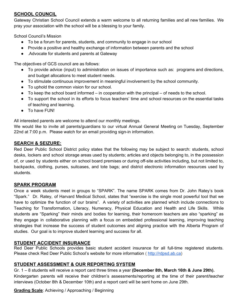# **SCHOOL COUNCIL**

Gateway Christian School Council extends a warm welcome to all returning families and all new families. We pray your association with the school will be a blessing to your family.

School Council's Mission

- To be a forum for parents, students, and community to engage in our school
- Provide a positive and healthy exchange of information between parents and the school
- .Advocate for students and parents at Gateway

The objectives of GCS council are as follows:

- To provide advice (input) to administration on issues of importance such as: programs and directions, and budget allocations to meet student needs.
- To stimulate continuous improvement in meaningful involvement by the school community.
- To uphold the common vision for our school.
- $\bullet$  To keep the school board informed in cooperation with the principal of needs to the school.
- To support the school in its efforts to focus teachers' time and school resources on the essential tasks of teaching and learning.
- To have FUN!

All interested parents are welcome to attend our monthly meetings.

We would like to invite all parents/guardians to our virtual Annual General Meeting on Tuesday, September 22nd at 7:00 p.m. Please watch for an email providing sign-in information.

# **SEARCH & SEIZURE:**

Red Deer Public School District policy states that the following may be subject to search: students, school desks, lockers and school storage areas used by students; articles and objects belonging to, in the possession of, or used by students either on school board premises or during off-site activities including, but not limited to, backpacks, clothing, purses, suitcases, and tote bags; and district electronic information resources used by students.

## **SPARK PROGRAM**

Once a week students meet in groups to "SPARK". The name SPARK comes from Dr. John Ratey's book "Spark." Dr. Ratey, of Harvard Medical School, states that "exercise is the single most powerful tool that we have to optimize the function of our brains". A variety of activities are planned which include connections to Teaching for Transformation, Literacy, Numeracy, Physical Education and Health and Life Skills. While students are "Sparking" their minds and bodies for learning, their homeroom teachers are also "sparking" as they engage in collaborative planning with a focus on embedded professional learning, improving teaching strategies that increase the success of student outcomes and aligning practice with the Alberta Program of studies. Our goal is to improve student learning and success for all.

## **STUDENT ACCIDENT INSURANCE**

Red Deer Public Schools provides basic student accident insurance for all full-time registered students. Please check Red Deer Public School's website for more information ( [http://rdpsd.ab.ca\)](http://rdpsd.ab.ca/)

# **STUDENT ASSESSMENT & OUR REPORTING SYSTEM**

Gr. 1 – 8 students will receive a report card three times a year **(December 8th, March 16th & June 29th).** Kindergarten parents will receive their children's assessments/reporting at the time of their parent/teacher interviews (October 8th & December 10th) and a report card will be sent home on June 29th.

## **Grading Scale**: Achieving / Approaching / Beginning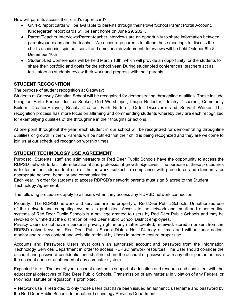How will parents access their child's report card?

- Gr. 1-5 report cards will be available to parents through their PowerSchool Parent Portal Account. Kindergarten report cards will be sent home on June 29, 2021.
- Parent/Teacher Interviews: Parent-teacher interviews are an opportunity to share information between parents/guardians and the teacher. We encourage parents to attend these meetings to discuss the child's academic, spiritual, social and emotional development. Interviews will be held October 8th & December 10th
- Student-Led Conferences will be held March 18th, which will provide an opportunity for the students to share their portfolio and goals for the school year. During student-led conferences, teachers act as facilitators as students review their work and progress with their parents.

## **STUDENT RECOGNITION**

The purpose of student recognition at Gateway:

Students at Gateway Christian School will be recognized for demonstrating throughline qualities. These include being an Earth Keeper, Justice Seeker, God Worshipper, Image Reflector, Idolatry Discerner, Community Builder, CreationEnjoyer, Beauty Creator, Faith Nurturer, Order Discoverer and Servant Worker. This recognition process has more focus on affirming and commending students whereby they are each recognized for exemplifying qualities of the throughline in their thoughts or actions.

At one point throughout the year, each student in our school will be recognized for demonstrating throughline qualities or growth in them. Parents will be notified that their child is being recognized and they are welcome to join us at our scheduled recognition worship times.

#### **STUDENT TECHNOLOGY USE AGREEMENT**

Purpose: Students, staff and administrators of Red Deer Public Schools have the opportunity to access the RDPSD network to facilitate educational and professional growth objectives. The purpose of these procedures is to foster the independent use of the network, subject to compliance with procedures and standards for appropriate network behavior and communication.

Each year, in order for students to access RDPSD's network; parents must sign & agree to the Student Technology Agreement.

The following procedures apply to all users when they access any RDPSD network connection.

Property: The RDPSD network and services are the property of Red Deer Public Schools. Unauthorized use of the network and computing systems is prohibited. Access to the network and email and other on-line systems of Red Deer Public Schools is a privilege granted to users by Red Deer Public Schools and may be revoked or withheld at the discretion of Red Deer Public School District employees.

Privacy Users do not have a personal privacy right in any matter created, received, stored in or sent from the RDPSD network system. Red Deer Public School District No. 104 may at times and without prior notice, monitor and review content and web site retrieval by Users in order to ensure proper use.

Accounts and Passwords Users must obtain an authorized account and password from the Information Technology Services Department in order to access RDPSD network resources. The User should consider the account and password confidential and shall not share the account or password with any other person or leave the account open or unattended at any computer system.

Expected Use: The use of your account must be in support of education and research and consistent with the educational objectives of Red Deer Public Schools. Transmission of any material in violation of any Federal or Provincial statute or regulation is prohibited.

● Network use is restricted to only those users that have been issued an authentic username and password by the Red Deer Public Schools Information Technology Services Department.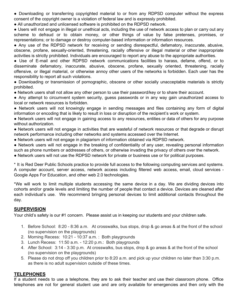● Downloading or transferring copyrighted material to or from any RDPSD computer without the express consent of the copyright owner is a violation of federal law and is expressly prohibited.

● All unauthorized and unlicensed software is prohibited on the RDPSD network.

● Users will not engage in illegal or unethical acts, including the use of network access to plan or carry out any scheme to defraud or to obtain money, or other things of value by false pretenses, promises, or representations; or to damage or destroy computer-based information or information resources.

• Any use of the RDPSD network for receiving or sending disrespectful, defamatory, inaccurate, abusive, obscene, profane, sexually-oriented, threatening, racially offensive or illegal material or other inappropriate activities is strictly prohibited. Individuals are encouraged to report any abuse to the appropriate authorities.

● Use of E-mail and other RDPSD network communications facilities to harass, defame, offend, or to disseminate defamatory, inaccurate, abusive, obscene, profane, sexually oriented, threatening, racially offensive, or illegal material, or otherwise annoy other users of the networks is forbidden. Each user has the responsibility to report all such violations.

● Downloading or transmission of pornographic, obscene or other socially unacceptable materials is strictly prohibited.

● Network users shall not allow any other person to use their password/key or to share their account.

● Any attempt to circumvent system security, guess passwords or in any way gain unauthorized access to local or network resources is forbidden.

● Network users will not knowingly engage in sending messages and files containing any form of digital information or encoding that is likely to result in loss or disruption of the recipient's work or system.

● Network users will not engage in gaining access to any resources, entities or data of others for any purpose without authorization.

● Network users will not engage in activities that are wasteful of network resources or that degrade or disrupt network performance including other networks and systems accessed over the Internet.

● Network users will not engage in plagiarism of information obtained via RDPSD network.

● Network users will not engage in the breaking of confidentiality of any user, revealing personal information such as phone numbers or addresses of others, or otherwise invading the privacy of others over the network.

● Network users will not use the RDPSD network for private or business use or for political purposes.

\* It is Red Deer Public Schools practice to provide full access to the following computing services and systems. A computer account, server access, network access including filtered web access, email, cloud services - Google Apps For Education, and other web 2.0 technologies.

\*We will work to limit multiple students accessing the same device in a day. We are dividing devices into cohorts and/or grade levels and limiting the number of people that contact a device. Devices are cleaned after each individual's use. We recommend bringing personal devices to limit additional contacts throughout the day.

## **SUPERVISION**

Your child's safety is our #1 concern. Please assist us in keeping our students and your children safe.

- 1. Before School: 8:20 8:36 a.m. At crosswalks, bus stops, drop & go areas & at the front of the school (no supervision on the playgrounds)
- 2. Morning Recess: 10:21 10:37 a.m. : Both playgrounds
- 3. Lunch Recess: 11:50 a.m. 12:20 p.m.: Both playgrounds
- 4. After School: 3:14 3:30 p.m. At crosswalks, bus stops, drop & go areas & at the front of the school (no supervision on the playgrounds)
- 5. Please do not drop off you children prior to 8:20 a.m. and pick up your children no later than 3:30 p.m. as there is no adult supervision outside of these times.

#### **TELEPHONES**

If a student needs to use a telephone, they are to ask their teacher and use their classroom phone. Office telephones are not for general student use and are only available for emergencies and then only with the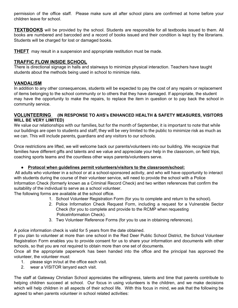permission of the office staff. Please make sure all after school plans are confirmed at home before your children leave for school.

**TEXTBOOKS** will be provided by the school. Students are responsible for all textbooks issued to them. All books are numbered and barcoded and a record of books issued and their condition is kept by the librarians. Students will be charged for lost or damaged books.

**THEFT** may result in a suspension and appropriate restitution must be made.

#### **TRAFFIC FLOW INSIDE SCHOOL**

There is directional signage in halls and stairways to minimize physical interaction. Teachers have taught students about the methods being used in school to minimize risks.

#### **VANDALISM**

In addition to any other consequences, students will be expected to pay the cost of any repairs or replacement of items belonging to the school community or to others that they have damaged. If appropriate, the student may have the opportunity to make the repairs, to replace the item in question or to pay back the school in community service.

#### **VOLUNTEERING (IN RESPONSE TO AHS's ENHANCED HEALTH & SAFETY MEASURES, VISITORS WILL BE VERY LIMITED)**

We value our relationships with our families, but for the month of September, it is important to note that while our buildings are open to students and staff, they will be very limited to the public to minimize risk as much as we can. This will include parents, guardians and any visitors to our schools.

Once restrictions are lifted, we will welcome back our parents/volunteers into our building. We recognize that families have different gifts and talents and we value and appreciate your help in the classroom, on field trips, coaching sports teams and the countless other ways parents/volunteers serve.

#### **● Protocol when guidelines permit volunteers/visitors to the classroom/school:**

All adults who volunteer in a school or at a school-sponsored activity, and who will have opportunity to interact with students during the course of their volunteer service, will need to provide the school with a Police Information Check (formerly known as a Criminal Record Check) and two written references that confirm the suitability of the individual to serve as a school volunteer.

The following forms are available at the school office.

- 1. School Volunteer Registration Form (for you to complete and return to the school).
- 2. Police Information Check Request Form, including a request for a Vulnerable Sector Check (for you to complete and provide to the RCMP when requesting PoliceInformation Check).
- 3. Two Volunteer Reference Forms (for you to use in obtaining references).

A police information check is valid for 5 years from the date obtained.

If you plan to volunteer at more than one school in the Red Deer Public School District, the School Volunteer Registration Form enables you to provide consent for us to share your information and documents with other schools, so that you are not required to obtain more than one set of documents.

Once all the appropriate paperwork has been handed into the office and the principal has approved the volunteer, the volunteer must:

- 1. please sign in/out at the office each visit.
- 2. wear a VISITOR lanyard each visit.

The staff at Gateway Christian School appreciates the willingness, talents and time that parents contribute to helping children succeed at school. Our focus in using volunteers is the children, and we make decisions which will help children in all aspects of their school life. With this focus in mind, we ask that the following be agreed to when parents volunteer in school related activities: